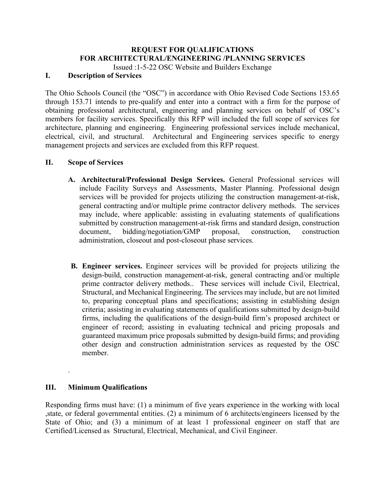## **REQUEST FOR QUALIFICATIONS FOR ARCHITECTURAL/ENGINEERING /PLANNING SERVICES**

Issued :1-5-22 OSC Website and Builders Exchange

# **I. Description of Services**

The Ohio Schools Council (the "OSC") in accordance with Ohio Revised Code Sections 153.65 through 153.71 intends to pre-qualify and enter into a contract with a firm for the purpose of obtaining professional architectural, engineering and planning services on behalf of OSC's members for facility services. Specifically this RFP will included the full scope of services for architecture, planning and engineering. Engineering professional services include mechanical, electrical, civil, and structural. Architectural and Engineering services specific to energy management projects and services are excluded from this RFP request.

## **II. Scope of Services**

- **A. Architectural/Professional Design Services.** General Professional services will include Facility Surveys and Assessments, Master Planning. Professional design services will be provided for projects utilizing the construction management-at-risk, general contracting and/or multiple prime contractor delivery methods. The services may include, where applicable: assisting in evaluating statements of qualifications submitted by construction management-at-risk firms and standard design, construction document, bidding/negotiation/GMP proposal, construction, construction administration, closeout and post-closeout phase services.
- **B. Engineer services.** Engineer services will be provided for projects utilizing the design-build, construction management-at-risk, general contracting and/or multiple prime contractor delivery methods.. These services will include Civil, Electrical, Structural, and Mechanical Engineering. The services may include, but are not limited to, preparing conceptual plans and specifications; assisting in establishing design criteria; assisting in evaluating statements of qualifications submitted by design-build firms, including the qualifications of the design-build firm's proposed architect or engineer of record; assisting in evaluating technical and pricing proposals and guaranteed maximum price proposals submitted by design-build firms; and providing other design and construction administration services as requested by the OSC member.

### **III. Minimum Qualifications**

.

Responding firms must have: (1) a minimum of five years experience in the working with local ,state, or federal governmental entities. (2) a minimum of 6 architects/engineers licensed by the State of Ohio; and (3) a minimum of at least 1 professional engineer on staff that are Certified/Licensed as Structural, Electrical, Mechanical, and Civil Engineer.